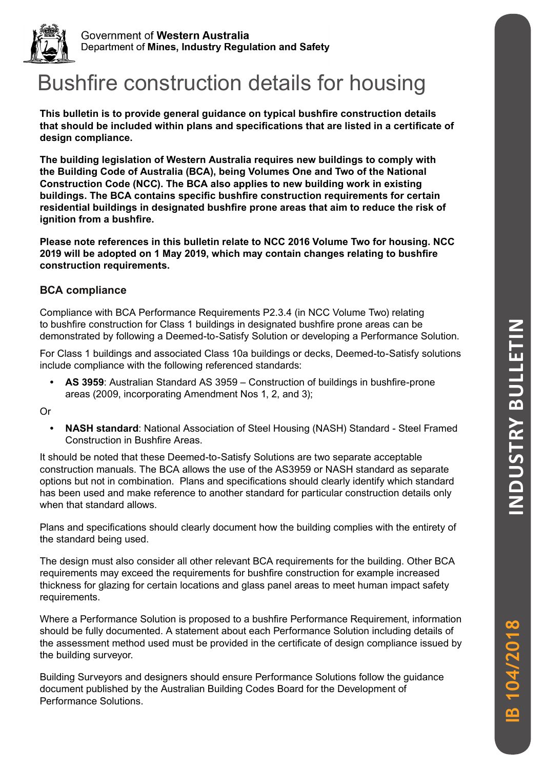

Government of Western Australia Department of Mines, Industry Regulation and Safety

# Bushfire construction details for housing

**This bulletin is to provide general guidance on typical bushfire construction details that should be included within plans and specifications that are listed in a certificate of design compliance.** 

**The building legislation of Western Australia requires new buildings to comply with the Building Code of Australia (BCA), being Volumes One and Two of the National Construction Code (NCC). The BCA also applies to new building work in existing buildings. The BCA contains specific bushfire construction requirements for certain residential buildings in designated bushfire prone areas that aim to reduce the risk of ignition from a bushfire.** 

**Please note references in this bulletin relate to NCC 2016 Volume Two for housing. NCC 2019 will be adopted on 1 May 2019, which may contain changes relating to bushfire construction requirements.** 

#### **BCA compliance**

Compliance with BCA Performance Requirements P2.3.4 (in NCC Volume Two) relating to bushfire construction for Class 1 buildings in designated bushfire prone areas can be demonstrated by following a Deemed-to-Satisfy Solution or developing a Performance Solution.

For Class 1 buildings and associated Class 10a buildings or decks, Deemed-to-Satisfy solutions include compliance with the following referenced standards:

**• AS 3959**: Australian Standard AS 3959 – Construction of buildings in bushfire-prone areas (2009, incorporating Amendment Nos 1, 2, and 3);

Or

**• NASH standard**: National Association of Steel Housing (NASH) Standard - Steel Framed Construction in Bushfire Areas.

It should be noted that these Deemed-to-Satisfy Solutions are two separate acceptable construction manuals. The BCA allows the use of the AS3959 or NASH standard as separate options but not in combination. Plans and specifications should clearly identify which standard has been used and make reference to another standard for particular construction details only when that standard allows.

Plans and specifications should clearly document how the building complies with the entirety of the standard being used.

The design must also consider all other relevant BCA requirements for the building. Other BCA requirements may exceed the requirements for bushfire construction for example increased thickness for glazing for certain locations and glass panel areas to meet human impact safety requirements.

Where a Performance Solution is proposed to a bushfire Performance Requirement, information should be fully documented. A statement about each Performance Solution including details of the assessment method used must be provided in the certificate of design compliance issued by the building surveyor.

Building Surveyors and designers should ensure Performance Solutions follow the guidance document published by the Australian Building Codes Board for the Development of Performance Solutions.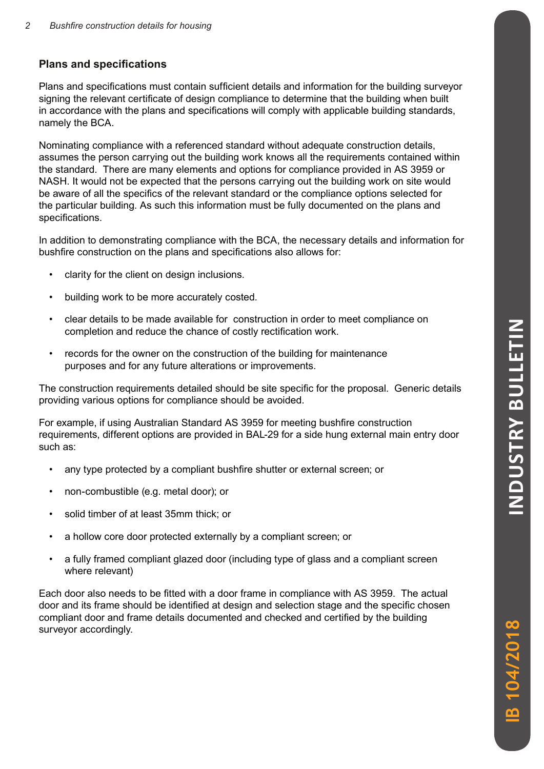#### **Plans and specifications**

Plans and specifications must contain sufficient details and information for the building surveyor signing the relevant certificate of design compliance to determine that the building when built in accordance with the plans and specifications will comply with applicable building standards, namely the BCA.

Nominating compliance with a referenced standard without adequate construction details, assumes the person carrying out the building work knows all the requirements contained within the standard. There are many elements and options for compliance provided in AS 3959 or NASH. It would not be expected that the persons carrying out the building work on site would be aware of all the specifics of the relevant standard or the compliance options selected for the particular building. As such this information must be fully documented on the plans and specifications.

In addition to demonstrating compliance with the BCA, the necessary details and information for bushfire construction on the plans and specifications also allows for:

- clarity for the client on design inclusions.
- building work to be more accurately costed.
- clear details to be made available for construction in order to meet compliance on completion and reduce the chance of costly rectification work.
- records for the owner on the construction of the building for maintenance purposes and for any future alterations or improvements.

The construction requirements detailed should be site specific for the proposal. Generic details providing various options for compliance should be avoided.

For example, if using Australian Standard AS 3959 for meeting bushfire construction requirements, different options are provided in BAL-29 for a side hung external main entry door such as:

- any type protected by a compliant bushfire shutter or external screen; or
- non-combustible (e.g. metal door); or
- solid timber of at least 35mm thick; or
- a hollow core door protected externally by a compliant screen; or
- a fully framed compliant glazed door (including type of glass and a compliant screen where relevant)

Each door also needs to be fitted with a door frame in compliance with AS 3959. The actual door and its frame should be identified at design and selection stage and the specific chosen compliant door and frame details documented and checked and certified by the building surveyor accordingly.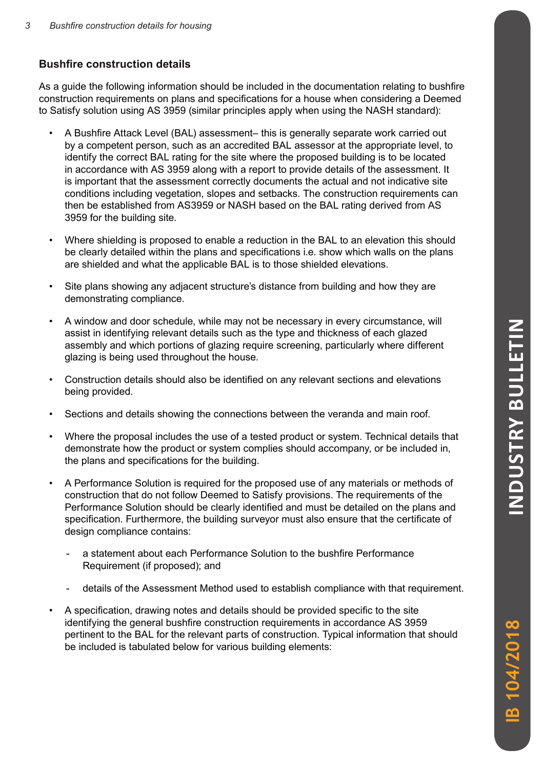#### **Bushfire construction details**

As a guide the following information should be included in the documentation relating to bushfire construction requirements on plans and specifications for a house when considering a Deemed to Satisfy solution using AS 3959 (similar principles apply when using the NASH standard):

- A Bushfire Attack Level (BAL) assessment– this is generally separate work carried out by a competent person, such as an accredited BAL assessor at the appropriate level, to identify the correct BAL rating for the site where the proposed building is to be located in accordance with AS 3959 along with a report to provide details of the assessment. It is important that the assessment correctly documents the actual and not indicative site conditions including vegetation, slopes and setbacks. The construction requirements can then be established from AS3959 or NASH based on the BAL rating derived from AS 3959 for the building site.
- Where shielding is proposed to enable a reduction in the BAL to an elevation this should be clearly detailed within the plans and specifications i.e. show which walls on the plans are shielded and what the applicable BAL is to those shielded elevations.
- Site plans showing any adjacent structure's distance from building and how they are demonstrating compliance.
- A window and door schedule, while may not be necessary in every circumstance, will assist in identifying relevant details such as the type and thickness of each glazed assembly and which portions of glazing require screening, particularly where different glazing is being used throughout the house.
- Construction details should also be identified on any relevant sections and elevations being provided.
- Sections and details showing the connections between the veranda and main roof.
- Where the proposal includes the use of a tested product or system. Technical details that demonstrate how the product or system complies should accompany, or be included in, the plans and specifications for the building.
- A Performance Solution is required for the proposed use of any materials or methods of construction that do not follow Deemed to Satisfy provisions. The requirements of the Performance Solution should be clearly identified and must be detailed on the plans and specification. Furthermore, the building surveyor must also ensure that the certificate of design compliance contains:
	- a statement about each Performance Solution to the bushfire Performance Requirement (if proposed); and
	- details of the Assessment Method used to establish compliance with that requirement.
- A specification, drawing notes and details should be provided specific to the site identifying the general bushfire construction requirements in accordance AS 3959 pertinent to the BAL for the relevant parts of construction. Typical information that should be included is tabulated below for various building elements: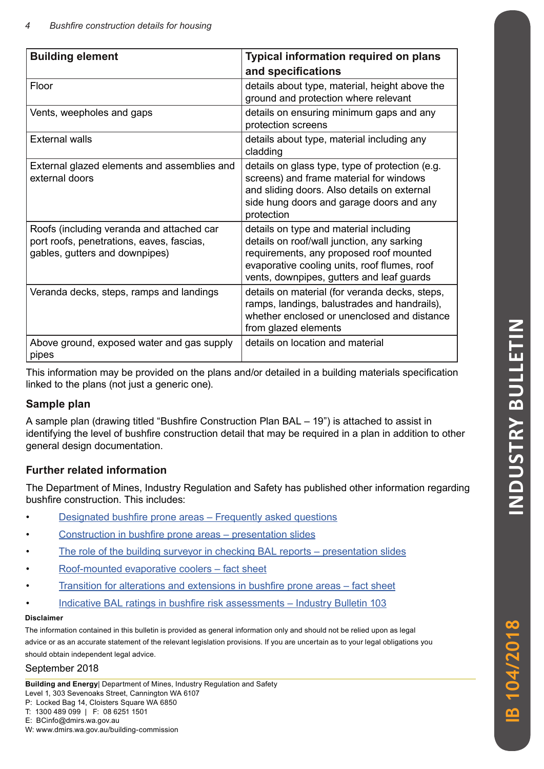| <b>Typical information required on plans</b><br><b>Building element</b>                                                  |                                                                                                                                                                                                                              |  |  |
|--------------------------------------------------------------------------------------------------------------------------|------------------------------------------------------------------------------------------------------------------------------------------------------------------------------------------------------------------------------|--|--|
|                                                                                                                          | and specifications                                                                                                                                                                                                           |  |  |
| Floor                                                                                                                    | details about type, material, height above the<br>ground and protection where relevant                                                                                                                                       |  |  |
| Vents, weepholes and gaps                                                                                                | details on ensuring minimum gaps and any<br>protection screens                                                                                                                                                               |  |  |
| External walls                                                                                                           | details about type, material including any<br>cladding                                                                                                                                                                       |  |  |
| External glazed elements and assemblies and<br>external doors                                                            | details on glass type, type of protection (e.g.<br>screens) and frame material for windows<br>and sliding doors. Also details on external<br>side hung doors and garage doors and any<br>protection                          |  |  |
| Roofs (including veranda and attached car<br>port roofs, penetrations, eaves, fascias,<br>gables, gutters and downpipes) | details on type and material including<br>details on roof/wall junction, any sarking<br>requirements, any proposed roof mounted<br>evaporative cooling units, roof flumes, roof<br>vents, downpipes, gutters and leaf guards |  |  |
| Veranda decks, steps, ramps and landings                                                                                 | details on material (for veranda decks, steps,<br>ramps, landings, balustrades and handrails),<br>whether enclosed or unenclosed and distance<br>from glazed elements                                                        |  |  |
| Above ground, exposed water and gas supply<br>pipes                                                                      | details on location and material                                                                                                                                                                                             |  |  |

This information may be provided on the plans and/or detailed in a building materials specification linked to the plans (not just a generic one).

### **Sample plan**

A sample plan (drawing titled "Bushfire Construction Plan BAL – 19") is attached to assist in identifying the level of bushfire construction detail that may be required in a plan in addition to other general design documentation.

### **Further related information**

The Department of Mines, Industry Regulation and Safety has published other information regarding bushfire construction. This includes:

- [Designated bushfire prone areas Frequently asked questions](https://www.commerce.wa.gov.au/building-commission/designated-bush-fire-prone-areas-frequently-asked-questions)
- [Construction in bushfire prone areas presentation slides](https://www.commerce.wa.gov.au/publications/construction-bush-fire-prone-areas-presentation)
- [The role of the building surveyor in checking BAL reports presentation slides](https://www.commerce.wa.gov.au/building-commission/building-commission-videos-0)
- [Roof-mounted evaporative coolers fact sheet](https://www.commerce.wa.gov.au/publications/roof-mounted-evaporative-coolers)
- [Transition for alterations and extensions in bushfire prone areas fact sheet](https://www.commerce.wa.gov.au/publications/transition-alterations-and-extensions-bush-fire-prone-areas)
- [Indicative BAL ratings in bushfire risk assessments Industry Bulletin 103](https://www.commerce.wa.gov.au/publications/industry-bulletin-103-indicative-bal-ratings-bushfire-risk-assessments)

#### **Disclaimer**

The information contained in this bulletin is provided as general information only and should not be relied upon as legal advice or as an accurate statement of the relevant legislation provisions. If you are uncertain as to your legal obligations you should obtain independent legal advice.

## September 2018

**Building and Energy**| Department of Mines, Industry Regulation and Safety Level 1, 303 Sevenoaks Street, Cannington WA 6107

- P: Locked Bag 14, Cloisters Square WA 6850
- T: 1300 489 099 | F: 08 6251 1501

E: BCinfo@dmirs.wa.gov.au

W: www.dmirs.wa.gov.au/building-commission

**IB 104/2018**

B 104/2018